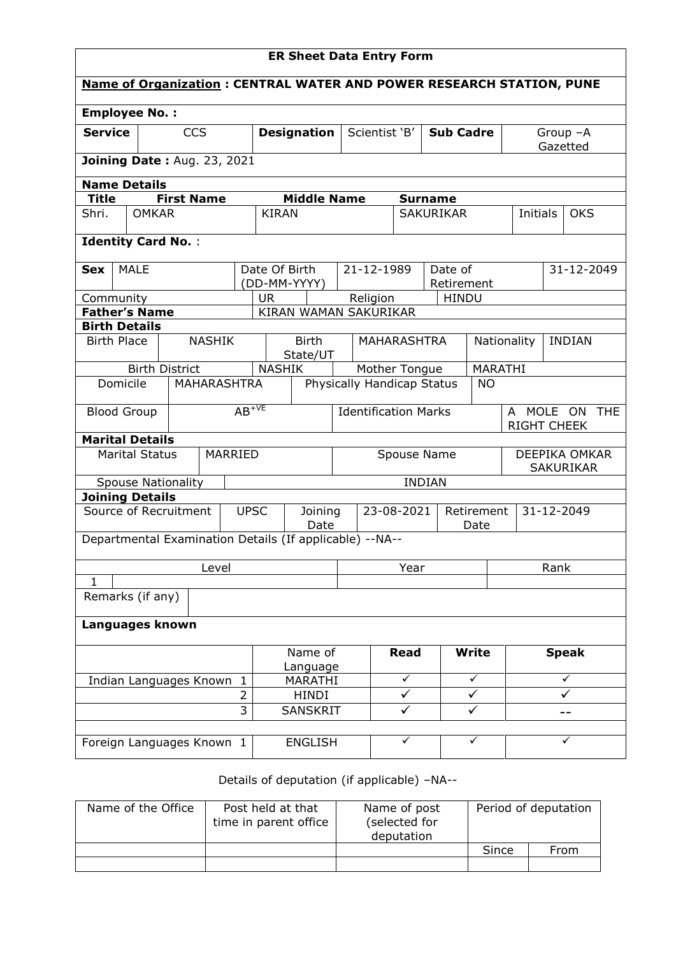| <b>ER Sheet Data Entry Form</b>     |                           |  |                    |                     |                    |                                                                             |                            |                                   |             |                                    |              |                                   |               |              |            |
|-------------------------------------|---------------------------|--|--------------------|---------------------|--------------------|-----------------------------------------------------------------------------|----------------------------|-----------------------------------|-------------|------------------------------------|--------------|-----------------------------------|---------------|--------------|------------|
|                                     |                           |  |                    |                     |                    | <b>Name of Organization: CENTRAL WATER AND POWER RESEARCH STATION, PUNE</b> |                            |                                   |             |                                    |              |                                   |               |              |            |
| <b>Employee No.:</b>                |                           |  |                    |                     |                    |                                                                             |                            |                                   |             |                                    |              |                                   |               |              |            |
| <b>Service</b>                      |                           |  | <b>CCS</b>         |                     | <b>Designation</b> |                                                                             |                            | Scientist 'B'<br><b>Sub Cadre</b> |             |                                    |              | Group $-A$                        |               |              |            |
|                                     |                           |  |                    |                     |                    |                                                                             |                            |                                   |             |                                    |              |                                   |               | Gazetted     |            |
| <b>Joining Date: Aug. 23, 2021</b>  |                           |  |                    |                     |                    |                                                                             |                            |                                   |             |                                    |              |                                   |               |              |            |
| <b>Name Details</b><br><b>Title</b> |                           |  |                    |                     |                    |                                                                             |                            |                                   |             |                                    |              |                                   |               |              |            |
| Shri.                               | <b>OMKAR</b>              |  | <b>First Name</b>  |                     | <b>KIRAN</b>       | <b>Middle Name</b>                                                          |                            |                                   |             | <b>Surname</b><br><b>SAKURIKAR</b> |              | Initials                          |               | <b>OKS</b>   |            |
|                                     |                           |  |                    |                     |                    |                                                                             |                            |                                   |             |                                    |              |                                   |               |              |            |
| <b>Identity Card No.:</b>           |                           |  |                    |                     |                    |                                                                             |                            |                                   |             |                                    |              |                                   |               |              |            |
| <b>Sex</b>                          | <b>MALE</b>               |  |                    |                     | Date Of Birth      |                                                                             |                            | 21-12-1989                        |             | Date of                            |              |                                   |               | 31-12-2049   |            |
|                                     |                           |  |                    |                     |                    | (DD-MM-YYYY)                                                                |                            |                                   |             | Retirement                         |              |                                   |               |              |            |
| Community<br><b>Father's Name</b>   |                           |  |                    |                     | <b>UR</b>          | KIRAN WAMAN SAKURIKAR                                                       |                            | Religion                          |             | <b>HINDU</b>                       |              |                                   |               |              |            |
| <b>Birth Details</b>                |                           |  |                    |                     |                    |                                                                             |                            |                                   |             |                                    |              |                                   |               |              |            |
| <b>Birth Place</b>                  |                           |  | <b>NASHIK</b>      |                     |                    | <b>Birth</b>                                                                |                            | <b>MAHARASHTRA</b>                |             |                                    | Nationality  |                                   | <b>INDIAN</b> |              |            |
|                                     | <b>Birth District</b>     |  |                    |                     | <b>NASHIK</b>      | State/UT                                                                    |                            | Mother Tongue                     |             |                                    |              | MARATHI                           |               |              |            |
| Domicile                            |                           |  | <b>MAHARASHTRA</b> |                     |                    |                                                                             | Physically Handicap Status |                                   |             | <b>NO</b>                          |              |                                   |               |              |            |
|                                     |                           |  |                    | $AB^{+VE}$          |                    |                                                                             |                            |                                   |             |                                    |              |                                   |               |              |            |
| <b>Blood Group</b>                  |                           |  |                    |                     |                    |                                                                             |                            | <b>Identification Marks</b>       |             |                                    |              | A MOLE ON<br><b>RIGHT CHEEK</b>   |               |              | <b>THE</b> |
| <b>Marital Details</b>              |                           |  |                    |                     |                    |                                                                             |                            |                                   |             |                                    |              |                                   |               |              |            |
|                                     | <b>Marital Status</b>     |  |                    | MARRIED             | Spouse Name        |                                                                             |                            |                                   |             |                                    |              | DEEPIKA OMKAR<br><b>SAKURIKAR</b> |               |              |            |
|                                     | <b>Spouse Nationality</b> |  |                    |                     |                    |                                                                             |                            |                                   |             | <b>INDIAN</b>                      |              |                                   |               |              |            |
| <b>Joining Details</b>              |                           |  |                    |                     |                    |                                                                             |                            |                                   |             |                                    |              |                                   |               |              |            |
| Source of Recruitment               |                           |  |                    | <b>UPSC</b>         |                    | Joining<br>Date                                                             | 23-08-2021                 |                                   |             | Retirement<br>Date                 |              |                                   | 31-12-2049    |              |            |
|                                     |                           |  |                    |                     |                    | Departmental Examination Details (If applicable) --NA--                     |                            |                                   |             |                                    |              |                                   |               |              |            |
|                                     |                           |  | Level              |                     |                    |                                                                             | Year                       |                                   |             | Rank                               |              |                                   |               |              |            |
| $\mathbf{1}$<br>Remarks (if any)    |                           |  |                    |                     |                    |                                                                             |                            |                                   |             |                                    |              |                                   |               |              |            |
|                                     |                           |  |                    |                     |                    |                                                                             |                            |                                   |             |                                    |              |                                   |               |              |            |
| Languages known                     |                           |  |                    |                     |                    |                                                                             |                            |                                   |             |                                    |              |                                   |               |              |            |
|                                     |                           |  |                    |                     |                    | Name of                                                                     |                            |                                   | <b>Read</b> |                                    | <b>Write</b> |                                   |               | <b>Speak</b> |            |
| Indian Languages Known 1            |                           |  |                    | Language<br>MARATHI |                    |                                                                             | $\checkmark$               |                                   | ✓           | ✓                                  |              |                                   |               |              |            |
| $\overline{2}$                      |                           |  | <b>HINDI</b>       |                     |                    | ✓                                                                           | ✓                          |                                   |             |                                    | ✓            |                                   |               |              |            |
|                                     |                           |  |                    | 3                   |                    | <b>SANSKRIT</b>                                                             |                            |                                   | ✓           |                                    | ✓            |                                   |               | --           |            |
| Foreign Languages Known 1           |                           |  |                    |                     |                    | <b>ENGLISH</b>                                                              |                            |                                   | ✓           |                                    | ✓            |                                   |               | ✓            |            |
|                                     |                           |  |                    |                     |                    |                                                                             |                            |                                   |             |                                    |              |                                   |               |              |            |

## Details of deputation (if applicable) –NA--

| Name of the Office | Post held at that<br>time in parent office | Name of post<br>(selected for<br>deputation | Period of deputation |      |  |  |
|--------------------|--------------------------------------------|---------------------------------------------|----------------------|------|--|--|
|                    |                                            |                                             | Since                | From |  |  |
|                    |                                            |                                             |                      |      |  |  |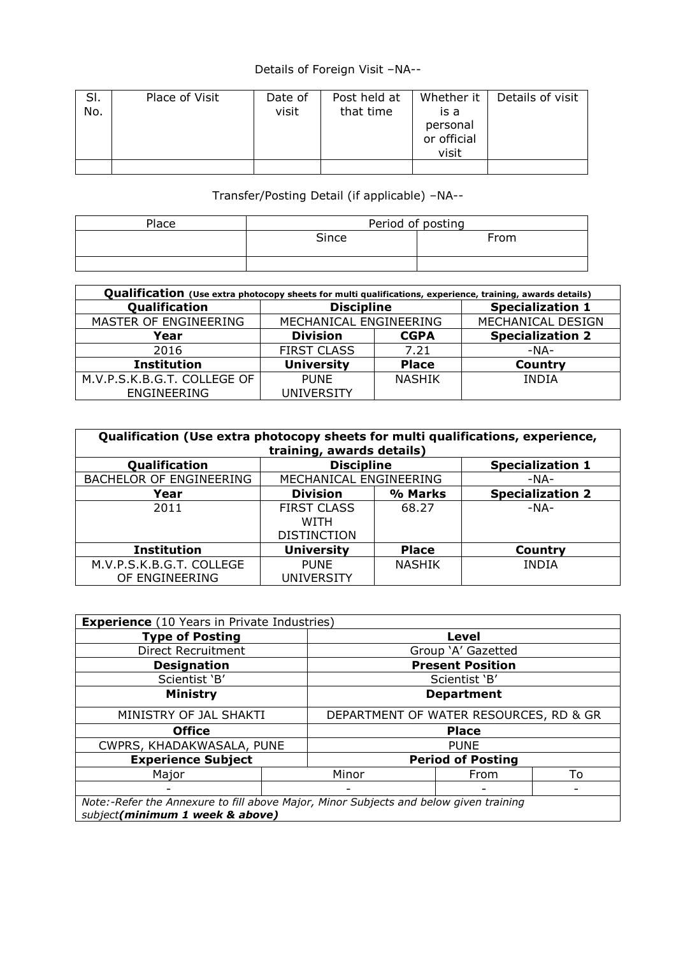## Details of Foreign Visit –NA--

| SI.<br>No. | Place of Visit | Date of<br>visit | Post held at<br>that time | Whether it<br>is a<br>personal<br>or official<br>visit | Details of visit |
|------------|----------------|------------------|---------------------------|--------------------------------------------------------|------------------|
|            |                |                  |                           |                                                        |                  |

## Transfer/Posting Detail (if applicable) –NA--

| Place | Period of posting |      |  |  |  |
|-------|-------------------|------|--|--|--|
|       | Since             | From |  |  |  |
|       |                   |      |  |  |  |

| Qualification (Use extra photocopy sheets for multi qualifications, experience, training, awards details) |                        |               |                         |  |  |  |  |  |
|-----------------------------------------------------------------------------------------------------------|------------------------|---------------|-------------------------|--|--|--|--|--|
| Qualification                                                                                             | <b>Discipline</b>      |               | <b>Specialization 1</b> |  |  |  |  |  |
| MASTER OF ENGINEERING                                                                                     | MECHANICAL ENGINEERING |               | MECHANICAL DESIGN       |  |  |  |  |  |
| Year                                                                                                      | <b>Division</b>        | <b>CGPA</b>   | <b>Specialization 2</b> |  |  |  |  |  |
| 2016                                                                                                      | <b>FIRST CLASS</b>     | 7.21          | -NA-                    |  |  |  |  |  |
| <b>Institution</b>                                                                                        | <b>University</b>      | <b>Place</b>  | <b>Country</b>          |  |  |  |  |  |
| M.V.P.S.K.B.G.T. COLLEGE OF                                                                               | <b>PUNE</b>            | <b>NASHIK</b> | <b>INDIA</b>            |  |  |  |  |  |
| <b>ENGINEERING</b>                                                                                        | UNIVERSITY             |               |                         |  |  |  |  |  |

| Qualification (Use extra photocopy sheets for multi qualifications, experience,<br>training, awards details) |                                              |               |                         |  |  |  |  |  |
|--------------------------------------------------------------------------------------------------------------|----------------------------------------------|---------------|-------------------------|--|--|--|--|--|
| Qualification                                                                                                | <b>Specialization 1</b><br><b>Discipline</b> |               |                         |  |  |  |  |  |
| <b>BACHELOR OF ENGINEERING</b>                                                                               | MECHANICAL ENGINEERING                       |               | $-NA-$                  |  |  |  |  |  |
| Year                                                                                                         | <b>Division</b>                              | % Marks       | <b>Specialization 2</b> |  |  |  |  |  |
| 2011                                                                                                         | <b>FIRST CLASS</b>                           | 68.27         | $-NA-$                  |  |  |  |  |  |
|                                                                                                              | <b>WITH</b>                                  |               |                         |  |  |  |  |  |
|                                                                                                              | <b>DISTINCTION</b>                           |               |                         |  |  |  |  |  |
| <b>Institution</b>                                                                                           | <b>University</b>                            | <b>Place</b>  | Country                 |  |  |  |  |  |
| M.V.P.S.K.B.G.T. COLLEGE                                                                                     | <b>PUNE</b>                                  | <b>NASHIK</b> | <b>INDIA</b>            |  |  |  |  |  |
| OF ENGINEERING                                                                                               | UNIVERSITY                                   |               |                         |  |  |  |  |  |

| <b>Experience</b> (10 Years in Private Industries)                                                                       |                                        |                          |               |    |  |  |
|--------------------------------------------------------------------------------------------------------------------------|----------------------------------------|--------------------------|---------------|----|--|--|
| <b>Type of Posting</b>                                                                                                   |                                        | Level                    |               |    |  |  |
| Direct Recruitment                                                                                                       |                                        | Group 'A' Gazetted       |               |    |  |  |
| <b>Designation</b>                                                                                                       |                                        | <b>Present Position</b>  |               |    |  |  |
| Scientist 'B'                                                                                                            |                                        |                          | Scientist 'B' |    |  |  |
| <b>Ministry</b>                                                                                                          | <b>Department</b>                      |                          |               |    |  |  |
| MINISTRY OF JAL SHAKTI                                                                                                   | DEPARTMENT OF WATER RESOURCES, RD & GR |                          |               |    |  |  |
| <b>Office</b>                                                                                                            | <b>Place</b>                           |                          |               |    |  |  |
| CWPRS, KHADAKWASALA, PUNE                                                                                                |                                        | <b>PUNE</b>              |               |    |  |  |
| <b>Experience Subject</b>                                                                                                |                                        | <b>Period of Posting</b> |               |    |  |  |
| Major                                                                                                                    |                                        | Minor                    | From          | To |  |  |
|                                                                                                                          |                                        |                          |               |    |  |  |
| Note:-Refer the Annexure to fill above Major, Minor Subjects and below given training<br>subject(minimum 1 week & above) |                                        |                          |               |    |  |  |